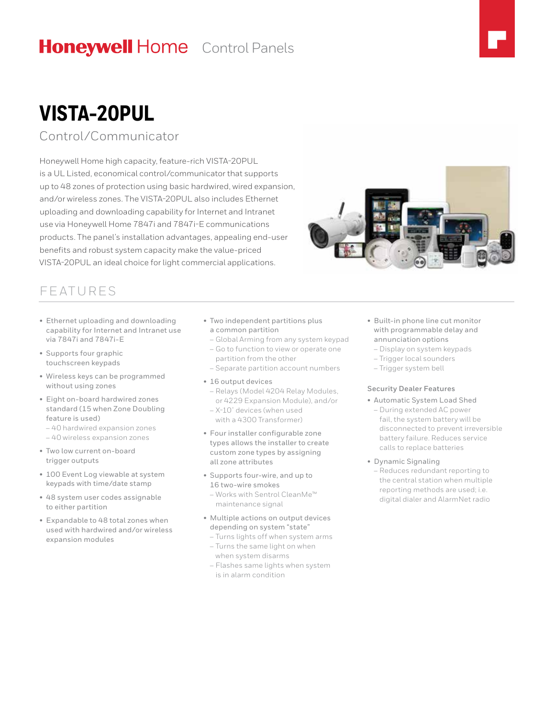# **Honeywell Home** Control Panels

# **VISTA-20PUL**

### Control/Communicator

Honeywell Home high capacity, feature-rich VISTA-20PUL is a UL Listed, economical control/communicator that supports up to 48 zones of protection using basic hardwired, wired expansion, and/or wireless zones. The VISTA-20PUL also includes Ethernet uploading and downloading capability for Internet and Intranet use via Honeywell Home 7847i and 7847i-E communications products. The panel's installation advantages, appealing end-user benefits and robust system capacity make the value-priced VISTA-20PUL an ideal choice for light commercial applications.

### FEATURES

- Ethernet uploading and downloading capability for Internet and Intranet use via 7847i and 7847i-E
- Supports four graphic touchscreen keypads
- Wireless keys can be programmed without using zones
- Eight on-board hardwired zones standard (15 when Zone Doubling feature is used)
- 40 hardwired expansion zones
- 40 wireless expansion zones
- Two low current on-board trigger outputs
- 100 Event Log viewable at system keypads with time/date stamp
- 48 system user codes assignable to either partition
- Expandable to 48 total zones when used with hardwired and/or wireless expansion modules
- Two independent partitions plus a common partition
- Global Arming from any system keypad
- Go to function to view or operate one partition from the other
- Separate partition account numbers
- 16 output devices
- Relays (Model 4204 Relay Modules, or 4229 Expansion Module), and/or
- X-10® devices (when used with a 4300 Transformer)
- Four installer configurable zone types allows the installer to create custom zone types by assigning all zone attributes
- Supports four-wire, and up to 16 two-wire smokes
	- Works with Sentrol CleanMe™ maintenance signal
- Multiple actions on output devices depending on system "state"
	- Turns lights off when system arms – Turns the same light on when
	- when system disarms – Flashes same lights when system
	- is in alarm condition
- Built-in phone line cut monitor with programmable delay and annunciation options
	- Display on system keypads
	- Trigger local sounders
	- Trigger system bell

### **Security Dealer Features**

- Automatic System Load Shed – During extended AC power fail, the system battery will be disconnected to prevent irreversible battery failure. Reduces service
- calls to replace batteries • Dynamic Signaling
- Reduces redundant reporting to the central station when multiple reporting methods are used; i.e. digital dialer and AlarmNet radio